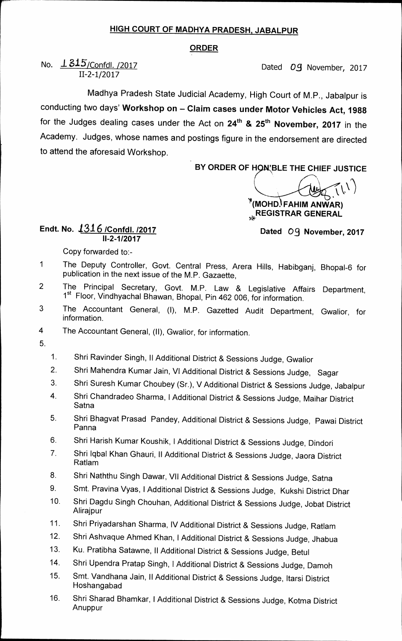## **HIGH COURT OF MADHYA PRADESH, JABALPUR**

## **ORDER**

## No.  $\angle 245$ /Confdl. /2017 **Dated** *OS* November, 2017 **11-2-1/2017**

**Madhya Pradesh State Judicial Academy, High Court of M.P., Jabalpur is conducting two days' Workshop on — Claim cases under Motor Vehicles Act, 1988**  for the Judges dealing cases under the Act on 24<sup>th</sup> & 25<sup>th</sup> November, 2017 in the **Academy. Judges, whose names and postings figure in the endorsement are directed to attend the aforesaid Workshop.** 

BY ORDER OF HON'BLE THE CHIEF JUSTICE

**%I/(MOHO. FAHIM ANWAR) REGISTRAR GENERAL** 

## **Endt. No. 131 /Confdl. /2017 11-2-1/2017**

**Dated 03 November, 2017** 

**Copy forwarded to:-** 

- **1 The Deputy Controller, Govt. Central Press, Arera Hills, Habibganj, Bhopal-6 for publication in the next issue of the M.P. Gazaette,**
- **2 The Principal Secretary, Govt. M.P. Law & Legislative Affairs Department, 1st Floor, Vindhyachal Bhawan, Bhopal, Pin 462 006, for information.**
- **3** The Accountant General, (I), M.P. Gazetted Audit Department, Gwalior, for **information.**
- **4 The Accountant General, (II), Gwalior, for information.**
- **5.**
- **1. Shri Ravinder Singh, II Additional District & Sessions Judge, Gwalior**
- **2. Shri Mahendra Kumar Jain, VI Additional District & Sessions Judge, Sagar**
- **3. Shri Suresh Kumar Choubey (Sr.), V Additional District & Sessions Judge, Jabalpur**
- **4. Shri Chandradeo Sharma, I Additional District & Sessions Judge, Maihar District Satna**
- **5. Shri Bhagvat Prasad Pandey, Additional District & Sessions Judge, Pawai District Panna**
- **6. Shri Harish Kumar Koushik, I Additional District & Sessions Judge, Dindori**
- **7. Shri lqbal Khan Ghauri, II Additional District & Sessions Judge, Jaora District Ratlam**
- **8. Shri Naththu Singh Dawar, VII Additional District & Sessions Judge, Satna**
- **9. Smt. Pravina Vyas, I Additional District & Sessions Judge, Kukshi District Dhar**
- **10. Shri Dagdu Singh Chouhan, Additional District & Sessions Judge, Jobat District Alirajpur**
- **11. Shri Priyadarshan Sharma, IV Additional District & Sessions Judge, Ratlam**
- **12. Shri Ashvaque Ahmed Khan, I Additional District & Sessions Judge, Jhabua**
- **13. Ku. Pratibha Satawne, II Additional District & Sessions Judge, Betul**
- **14. Shri Upendra Pratap Singh, 1 Additional District & Sessions Judge, Damoh**
- **15. Smt. Vandhana Jain, II Additional District & Sessions Judge, ltarsi District Hoshangabad**
- **16. Shri Sharad Bhamkar, I Additional District & Sessions Judge, Kotma District Anuppur**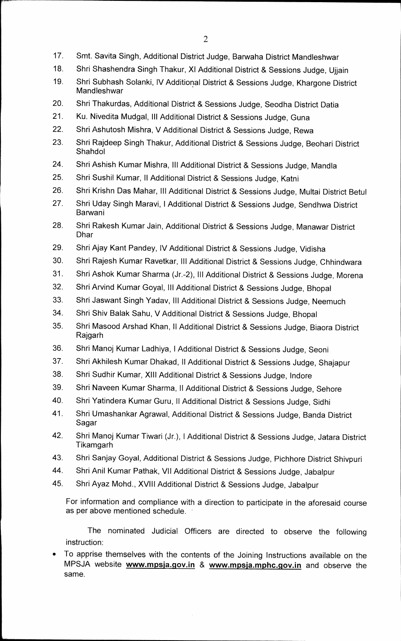- **17. Smt. Savita Singh, Additional District Judge, Barwaha District Mandleshwar**
- **18. Shri Shashendra Singh Thakur, X1 Additional District & Sessions Judge, Ujjain**
- **19. Shri Subhash Solanki, IV Additional District & Sessions Judge, Khargone District Mandleshwar**
- **20. Shri Thakurdas, Additional District & Sessions Judge, Seodha District Datia**
- **21. Ku. Nivedita Mudgal, Ill Additional District & Sessions Judge, Guna**
- **22. Shri Ashutosh Mishra, V Additional District & Sessions Judge, Rewa**
- **23. Shri Rajdeep Singh Thakur, Additional District & Sessions Judge, Beohari District Shahdol**
- **24. Shri Ashish Kumar Mishra, Ill Additional District & Sessions Judge, Mandla**
- **25. Shri Sushil Kumar, II Additional District & Sessions Judge, Katni**
- **26. Shri Krishn Das Mahar, Ill Additional District & Sessions Judge, Multai District Betul**
- **27. Shri Uday Singh Maravi, I Additional District & Sessions Judge, Sendhwa District Barwani**
- **28. Shri Rakesh Kumar Jain, Additional District & Sessions Judge, Manawar District Dhar**
- **29. Shri Ajay Kant Pandey, IV Additional District & Sessions Judge, Vidisha**
- **30. Shri Rajesh Kumar Ravetkar, Ill Additional District & Sessions Judge, Chhindwara**
- **31. Shri Ashok Kumar Sharma (Jr.-2), Ill Additional District & Sessions Judge, Morena**
- **32. Shri Arvind Kumar Goyal, Ill Additional District & Sessions Judge, Bhopal**
- **33. Shri Jaswant Singh Yadav, Ill Additional District & Sessions Judge, Neemuch**
- **34. Shri Shiv Balak Sahu, V Additional District & Sessions Judge, Bhopal**
- **35. Shri Masood Arshad Khan, II Additional District & Sessions Judge, Biaora District Rajgarh**
- **36. Shri Manoj Kumar Ladhiya, I Additional District & Sessions Judge, Seoni**
- **37. Shri Akhilesh Kumar Dhakad, II Additional District & Sessions Judge, Shajapur**
- **38. Shri Sudhir Kumar, XIII Additional District & Sessions Judge, Indore**
- **39. Shri Naveen Kumar Sharma, II Additional District & Sessions Judge, Sehore**
- **40. Shri Yatindera Kumar Guru, II Additional District & Sessions Judge, Sidhi**
- **41. Shri Umashankar Agrawal, Additional District & Sessions Judge, Banda District Sagar**
- **42. Shri Manoj Kumar Tiwari (Jr.), 1 Additional District & Sessions Judge, Jatara District Tikamgarh**
- **43. Shri Sanjay Goyal, Additional District & Sessions Judge, Pichhore District Shivpuri**
- **44. Shri Anil Kumar Pathak, VII Additional District & Sessions Judge, Jabalpur**
- **45. Shri Ayaz Mohd., XVIII Additional District & Sessions Judge, Jabalpur**

**For information and compliance with a direction to participate in the aforesaid course as per above mentioned schedule.** 

**The nominated Judicial Officers are directed to observe the following instruction:** 

**• To apprise themselves with the contents of the Joining Instructions available on the**  MPSJA website **www.mpsja.gov.in** & www.mpsja.mphc.gov.in and observe the **same.**